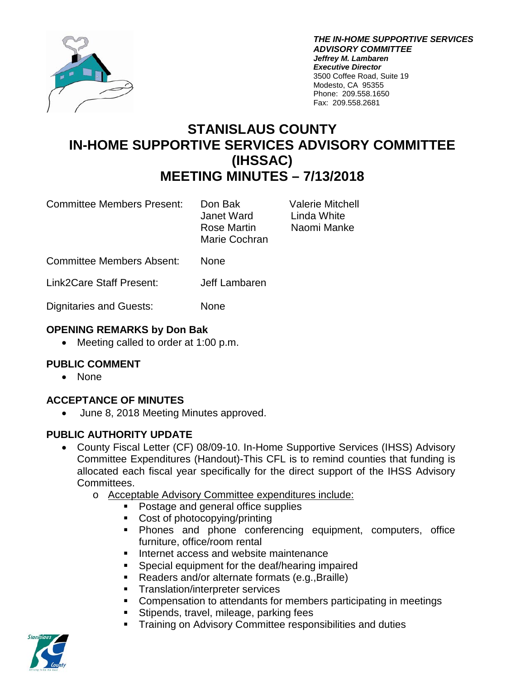

*THE IN-HOME SUPPORTIVE SERVICES ADVISORY COMMITTEE Jeffrey M. Lambaren Executive Director* 3500 Coffee Road, Suite 19 Modesto, CA 95355 Phone: 209.558.1650 Fax: 209.558.2681

# **STANISLAUS COUNTY IN-HOME SUPPORTIVE SERVICES ADVISORY COMMITTEE (IHSSAC) MEETING MINUTES – 7/13/2018**

Committee Members Present: Don Bak Valerie Mitchell

Janet Ward Linda White Rose Martin Naomi Manke Marie Cochran

Committee Members Absent: None

Link2Care Staff Present: Jeff Lambaren

Dignitaries and Guests: None

## **OPENING REMARKS by Don Bak**

• Meeting called to order at 1:00 p.m.

# **PUBLIC COMMENT**

• None

# **ACCEPTANCE OF MINUTES**

• June 8, 2018 Meeting Minutes approved.

### **PUBLIC AUTHORITY UPDATE**

- County Fiscal Letter (CF) 08/09-10. In-Home Supportive Services (IHSS) Advisory Committee Expenditures (Handout)-This CFL is to remind counties that funding is allocated each fiscal year specifically for the direct support of the IHSS Advisory Committees.
	- o Acceptable Advisory Committee expenditures include:
		- Postage and general office supplies
		- Cost of photocopying/printing
		- Phones and phone conferencing equipment, computers, office furniture, office/room rental
		- **Internet access and website maintenance**
		- Special equipment for the deaf/hearing impaired
		- Readers and/or alternate formats (e.g., Braille)
		- **Translation/interpreter services**
		- Compensation to attendants for members participating in meetings
		- Stipends, travel, mileage, parking fees
		- Training on Advisory Committee responsibilities and duties

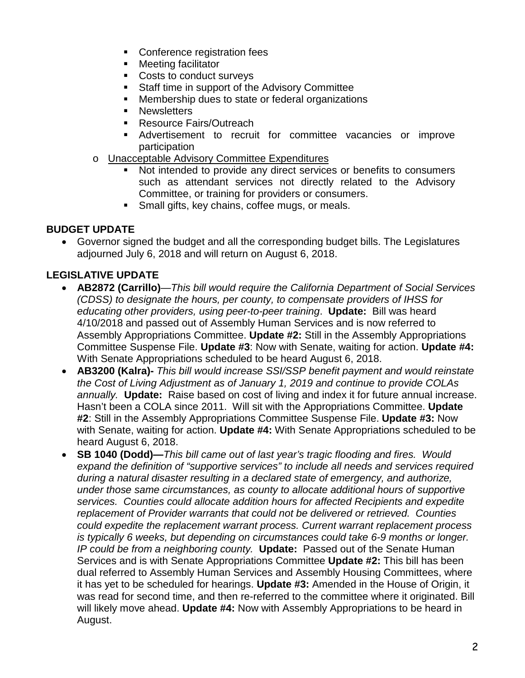- **Conference registration fees**
- **Neeting facilitator**
- Costs to conduct surveys
- **Staff time in support of the Advisory Committee**
- **Membership dues to state or federal organizations**
- **Newsletters**
- Resource Fairs/Outreach
- Advertisement to recruit for committee vacancies or improve participation
- o Unacceptable Advisory Committee Expenditures
	- Not intended to provide any direct services or benefits to consumers such as attendant services not directly related to the Advisory Committee, or training for providers or consumers.
	- **Small gifts, key chains, coffee mugs, or meals.**

### **BUDGET UPDATE**

• Governor signed the budget and all the corresponding budget bills. The Legislatures adjourned July 6, 2018 and will return on August 6, 2018.

# **LEGISLATIVE UPDATE**

- **AB2872 (Carrillo)**—*This bill would require the California Department of Social Services (CDSS) to designate the hours, per county, to compensate providers of IHSS for educating other providers, using peer-to-peer training*. **Update:** Bill was heard 4/10/2018 and passed out of Assembly Human Services and is now referred to Assembly Appropriations Committee. **Update #2:** Still in the Assembly Appropriations Committee Suspense File. **Update #3**: Now with Senate, waiting for action. **Update #4:** With Senate Appropriations scheduled to be heard August 6, 2018.
- **AB3200 (Kalra)-** *This bill would increase SSI/SSP benefit payment and would reinstate the Cost of Living Adjustment as of January 1, 2019 and continue to provide COLAs annually.* **Update:** Raise based on cost of living and index it for future annual increase. Hasn't been a COLA since 2011. Will sit with the Appropriations Committee. **Update #2**: Still in the Assembly Appropriations Committee Suspense File. **Update #3:** Now with Senate, waiting for action. **Update #4:** With Senate Appropriations scheduled to be heard August 6, 2018.
- **SB 1040 (Dodd)—***This bill came out of last year's tragic flooding and fires. Would expand the definition of "supportive services" to include all needs and services required during a natural disaster resulting in a declared state of emergency, and authorize, under those same circumstances, as county to allocate additional hours of supportive services. Counties could allocate addition hours for affected Recipients and expedite replacement of Provider warrants that could not be delivered or retrieved. Counties could expedite the replacement warrant process. Current warrant replacement process is typically 6 weeks, but depending on circumstances could take 6-9 months or longer. IP could be from a neighboring county.* **Update:** Passed out of the Senate Human Services and is with Senate Appropriations Committee **Update #2:** This bill has been dual referred to Assembly Human Services and Assembly Housing Committees, where it has yet to be scheduled for hearings. **Update #3:** Amended in the House of Origin, it was read for second time, and then re-referred to the committee where it originated. Bill will likely move ahead. **Update #4:** Now with Assembly Appropriations to be heard in August.